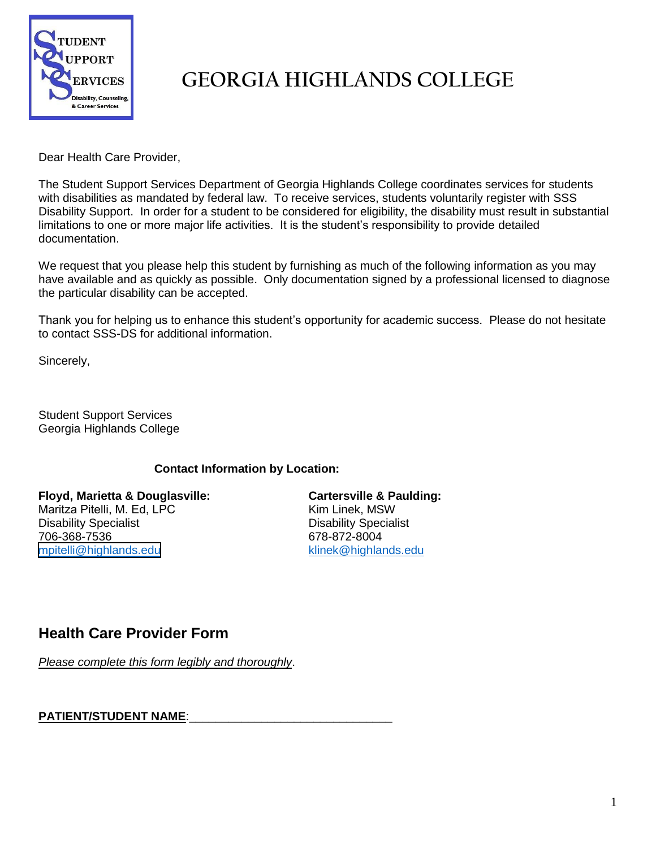

## **GEORGIA HIGHLANDS COLLEGE**

Dear Health Care Provider,

The Student Support Services Department of Georgia Highlands College coordinates services for students with disabilities as mandated by federal law. To receive services, students voluntarily register with SSS Disability Support. In order for a student to be considered for eligibility, the disability must result in substantial limitations to one or more major life activities. It is the student's responsibility to provide detailed documentation.

We request that you please help this student by furnishing as much of the following information as you may have available and as quickly as possible. Only documentation signed by a professional licensed to diagnose the particular disability can be accepted.

Thank you for helping us to enhance this student's opportunity for academic success. Please do not hesitate to contact SSS-DS for additional information.

Sincerely,

Student Support Services Georgia Highlands College

## **Contact Information by Location:**

**Floyd, Marietta & Douglasville:** Maritza Pitelli, M. Ed, LPC Disability Specialist 706-368-7536 mpitelli[@highlands.edu](mailto:pthompso@highlands.edu)

**Cartersville & Paulding:**  Kim Linek, MSW Disability Specialist 678-872-8004<br>klinek@highlands.edu

## **Health Care Provider Form**

*Please complete this form legibly and thoroughly*.

PATIENT/STUDENT NAME: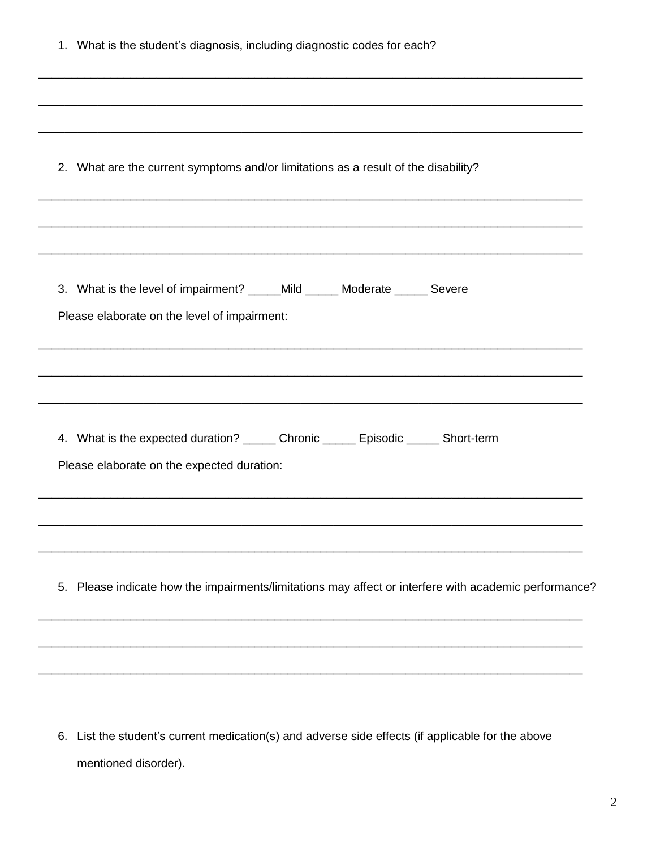| 1. What is the student's diagnosis, including diagnostic codes for each?                                                                                                                                    |  |
|-------------------------------------------------------------------------------------------------------------------------------------------------------------------------------------------------------------|--|
| <u> 1989 - Johann Stoff, deutscher Stoff, der Stoff, der Stoff, der Stoff, der Stoff, der Stoff, der Stoff, der S</u><br>2. What are the current symptoms and/or limitations as a result of the disability? |  |
| 3. What is the level of impairment? _____Mild ______ Moderate ______ Severe<br>Please elaborate on the level of impairment:                                                                                 |  |
| 4. What is the expected duration? _______ Chronic _______ Episodic ______ Short-term<br>Please elaborate on the expected duration:                                                                          |  |
| Please indicate how the impairments/limitations may affect or interfere with academic performance?<br>5.                                                                                                    |  |
|                                                                                                                                                                                                             |  |

6. List the student's current medication(s) and adverse side effects (if applicable for the above mentioned disorder).